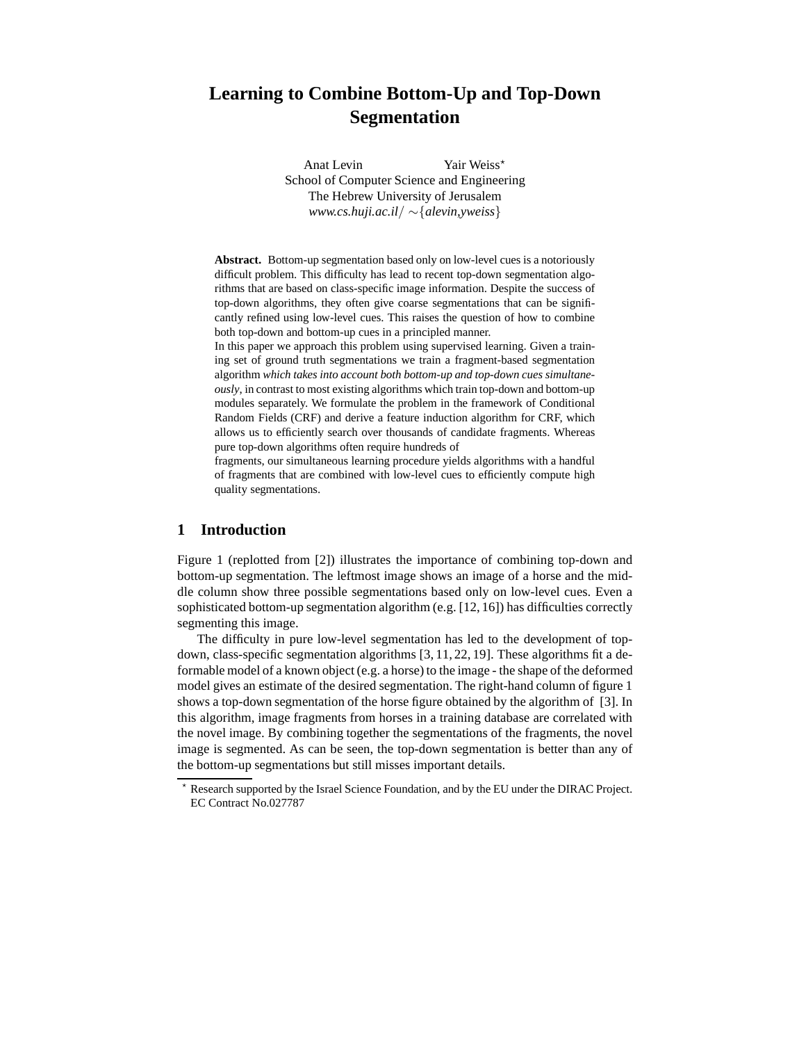# **Learning to Combine Bottom-Up and Top-Down Segmentation**

Anat Levin Yair Weiss<sup>\*</sup> School of Computer Science and Engineering The Hebrew University of Jerusalem *www.cs.huji.ac.il*/ ∼{*alevin,yweiss*}

**Abstract.** Bottom-up segmentation based only on low-level cues is a notoriously difficult problem. This difficulty has lead to recent top-down segmentation algorithms that are based on class-specific image information. Despite the success of top-down algorithms, they often give coarse segmentations that can be significantly refined using low-level cues. This raises the question of how to combine both top-down and bottom-up cues in a principled manner.

In this paper we approach this problem using supervised learning. Given a training set of ground truth segmentations we train a fragment-based segmentation algorithm *which takes into account both bottom-up and top-down cues simultaneously*, in contrast to most existing algorithms which train top-down and bottom-up modules separately. We formulate the problem in the framework of Conditional Random Fields (CRF) and derive a feature induction algorithm for CRF, which allows us to efficiently search over thousands of candidate fragments. Whereas pure top-down algorithms often require hundreds of

fragments, our simultaneous learning procedure yields algorithms with a handful of fragments that are combined with low-level cues to efficiently compute high quality segmentations.

# **1 Introduction**

Figure 1 (replotted from [2]) illustrates the importance of combining top-down and bottom-up segmentation. The leftmost image shows an image of a horse and the middle column show three possible segmentations based only on low-level cues. Even a sophisticated bottom-up segmentation algorithm (e.g. [12, 16]) has difficulties correctly segmenting this image.

The difficulty in pure low-level segmentation has led to the development of topdown, class-specific segmentation algorithms [3, 11, 22, 19]. These algorithms fit a deformable model of a known object (e.g. a horse) to the image - the shape of the deformed model gives an estimate of the desired segmentation. The right-hand column of figure 1 shows a top-down segmentation of the horse figure obtained by the algorithm of [3]. In this algorithm, image fragments from horses in a training database are correlated with the novel image. By combining together the segmentations of the fragments, the novel image is segmented. As can be seen, the top-down segmentation is better than any of the bottom-up segmentations but still misses important details.

Research supported by the Israel Science Foundation, and by the EU under the DIRAC Project. EC Contract No.027787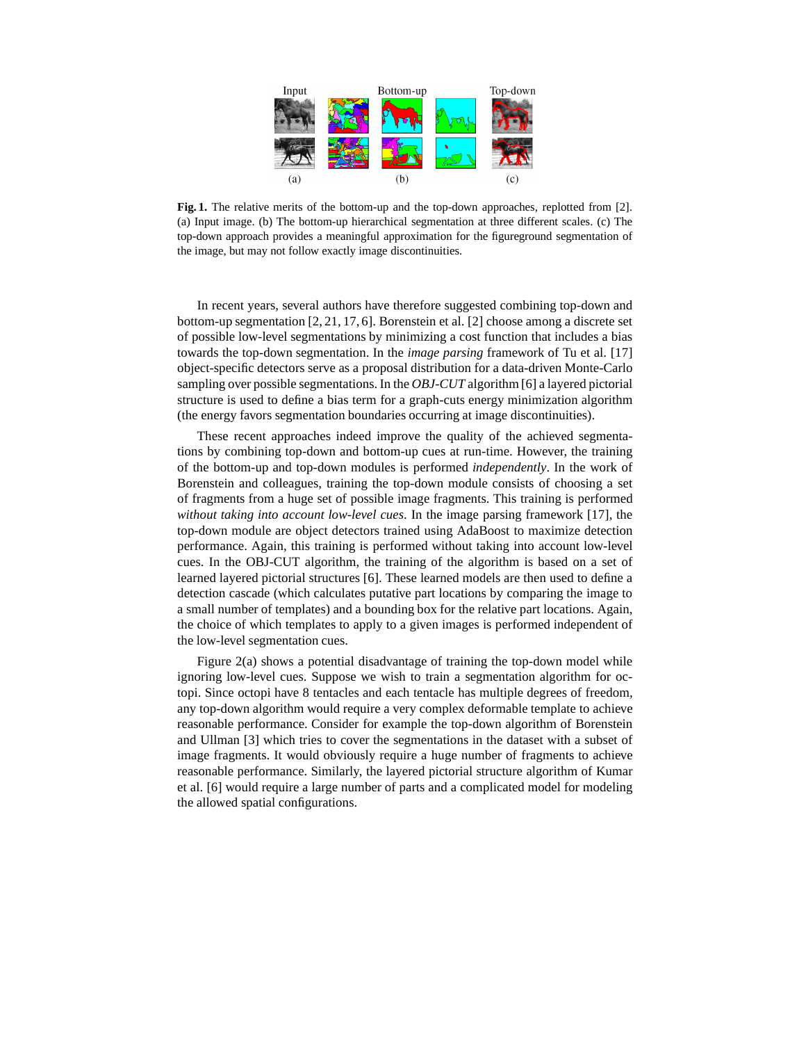

**Fig. 1.** The relative merits of the bottom-up and the top-down approaches, replotted from [2]. (a) Input image. (b) The bottom-up hierarchical segmentation at three different scales. (c) The top-down approach provides a meaningful approximation for the figureground segmentation of the image, but may not follow exactly image discontinuities.

In recent years, several authors have therefore suggested combining top-down and bottom-up segmentation [2, 21, 17, 6]. Borenstein et al. [2] choose among a discrete set of possible low-level segmentations by minimizing a cost function that includes a bias towards the top-down segmentation. In the *image parsing* framework of Tu et al. [17] object-specific detectors serve as a proposal distribution for a data-driven Monte-Carlo sampling over possible segmentations. In the *OBJ-CUT* algorithm [6] a layered pictorial structure is used to define a bias term for a graph-cuts energy minimization algorithm (the energy favors segmentation boundaries occurring at image discontinuities).

These recent approaches indeed improve the quality of the achieved segmentations by combining top-down and bottom-up cues at run-time. However, the training of the bottom-up and top-down modules is performed *independently*. In the work of Borenstein and colleagues, training the top-down module consists of choosing a set of fragments from a huge set of possible image fragments. This training is performed *without taking into account low-level cues*. In the image parsing framework [17], the top-down module are object detectors trained using AdaBoost to maximize detection performance. Again, this training is performed without taking into account low-level cues. In the OBJ-CUT algorithm, the training of the algorithm is based on a set of learned layered pictorial structures [6]. These learned models are then used to define a detection cascade (which calculates putative part locations by comparing the image to a small number of templates) and a bounding box for the relative part locations. Again, the choice of which templates to apply to a given images is performed independent of the low-level segmentation cues.

Figure 2(a) shows a potential disadvantage of training the top-down model while ignoring low-level cues. Suppose we wish to train a segmentation algorithm for octopi. Since octopi have 8 tentacles and each tentacle has multiple degrees of freedom, any top-down algorithm would require a very complex deformable template to achieve reasonable performance. Consider for example the top-down algorithm of Borenstein and Ullman [3] which tries to cover the segmentations in the dataset with a subset of image fragments. It would obviously require a huge number of fragments to achieve reasonable performance. Similarly, the layered pictorial structure algorithm of Kumar et al. [6] would require a large number of parts and a complicated model for modeling the allowed spatial configurations.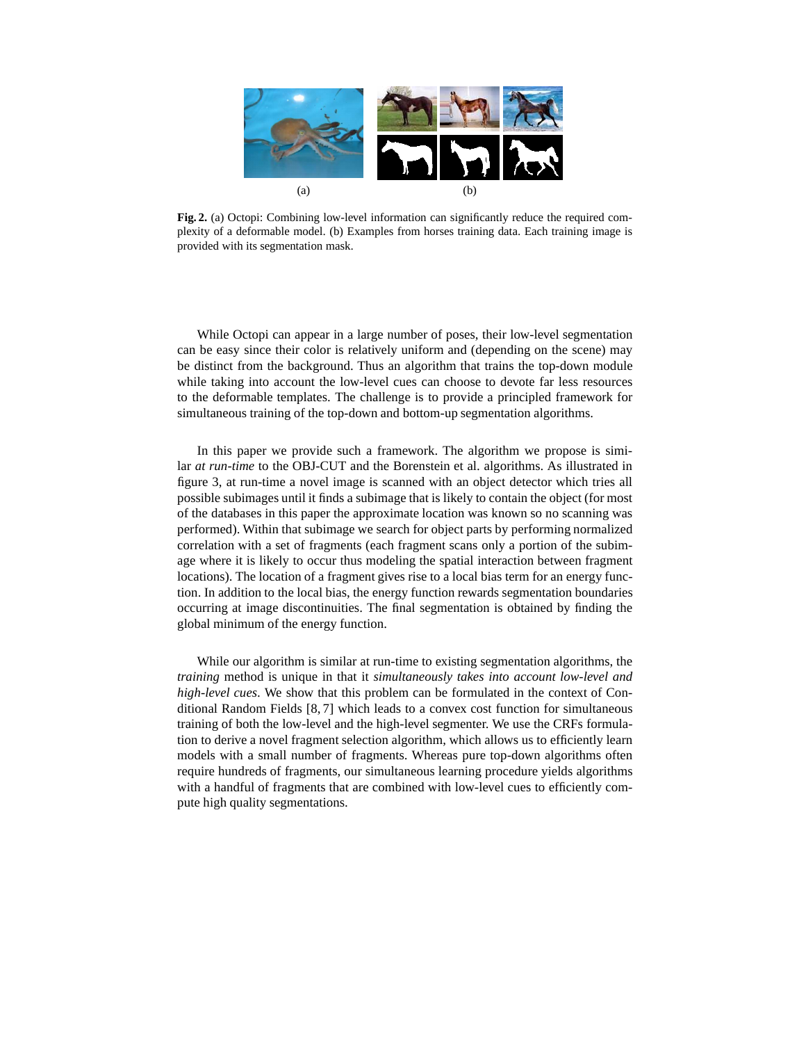

**Fig. 2.** (a) Octopi: Combining low-level information can significantly reduce the required complexity of a deformable model. (b) Examples from horses training data. Each training image is provided with its segmentation mask.

While Octopi can appear in a large number of poses, their low-level segmentation can be easy since their color is relatively uniform and (depending on the scene) may be distinct from the background. Thus an algorithm that trains the top-down module while taking into account the low-level cues can choose to devote far less resources to the deformable templates. The challenge is to provide a principled framework for simultaneous training of the top-down and bottom-up segmentation algorithms.

In this paper we provide such a framework. The algorithm we propose is similar *at run-time* to the OBJ-CUT and the Borenstein et al. algorithms. As illustrated in figure 3, at run-time a novel image is scanned with an object detector which tries all possible subimages until it finds a subimage that is likely to contain the object (for most of the databases in this paper the approximate location was known so no scanning was performed). Within that subimage we search for object parts by performing normalized correlation with a set of fragments (each fragment scans only a portion of the subimage where it is likely to occur thus modeling the spatial interaction between fragment locations). The location of a fragment gives rise to a local bias term for an energy function. In addition to the local bias, the energy function rewards segmentation boundaries occurring at image discontinuities. The final segmentation is obtained by finding the global minimum of the energy function.

While our algorithm is similar at run-time to existing segmentation algorithms, the *training* method is unique in that it *simultaneously takes into account low-level and high-level cues*. We show that this problem can be formulated in the context of Conditional Random Fields [8, 7] which leads to a convex cost function for simultaneous training of both the low-level and the high-level segmenter. We use the CRFs formulation to derive a novel fragment selection algorithm, which allows us to efficiently learn models with a small number of fragments. Whereas pure top-down algorithms often require hundreds of fragments, our simultaneous learning procedure yields algorithms with a handful of fragments that are combined with low-level cues to efficiently compute high quality segmentations.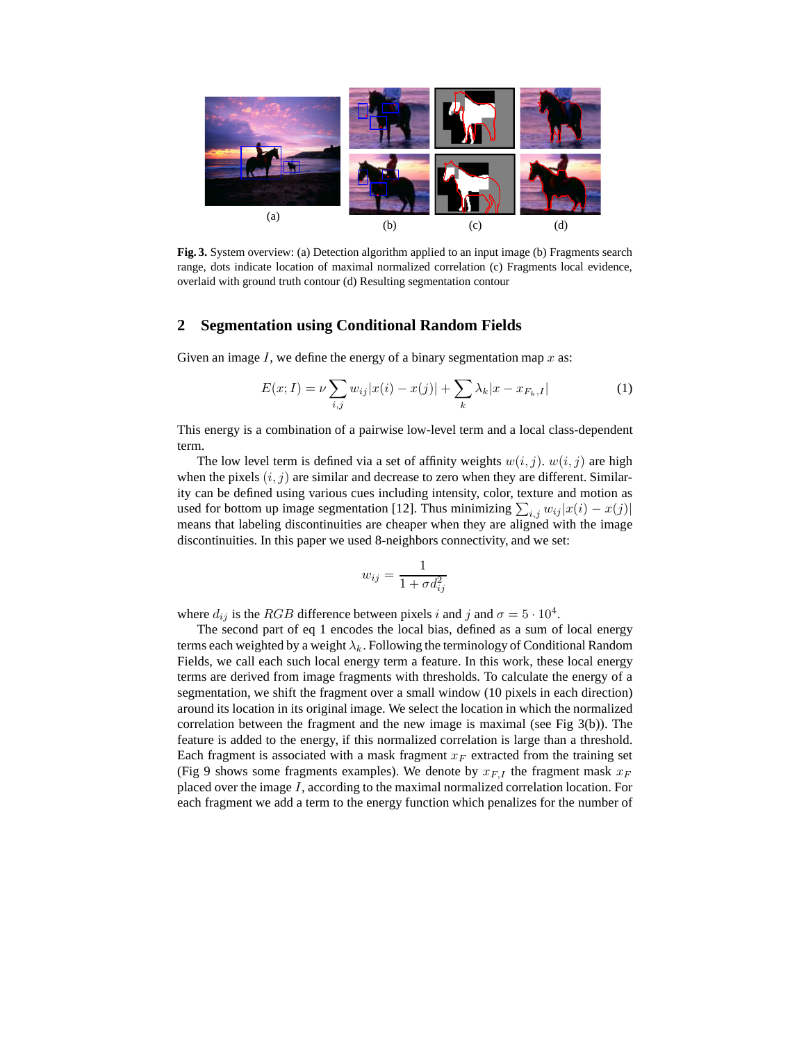

**Fig. 3.** System overview: (a) Detection algorithm applied to an input image (b) Fragments search range, dots indicate location of maximal normalized correlation (c) Fragments local evidence, overlaid with ground truth contour (d) Resulting segmentation contour

## **2 Segmentation using Conditional Random Fields**

Given an image I, we define the energy of a binary segmentation map x as:

$$
E(x; I) = \nu \sum_{i,j} w_{ij} |x(i) - x(j)| + \sum_{k} \lambda_k |x - x_{F_k, I}|
$$
 (1)

This energy is a combination of a pairwise low-level term and a local class-dependent term.

The low level term is defined via a set of affinity weights  $w(i, j)$ .  $w(i, j)$  are high when the pixels  $(i, j)$  are similar and decrease to zero when they are different. Similarity can be defined using various cues including intensity, color, texture and motion as used for bottom up image segmentation [12]. Thus minimizing  $\sum_{i,j} w_{ij} |x(i) - x(j)|$ means that labeling discontinuities are cheaper when they are aligned with the image discontinuities. In this paper we used 8-neighbors connectivity, and we set:

$$
w_{ij} = \frac{1}{1 + \sigma d_{ij}^2}
$$

where  $d_{ij}$  is the RGB difference between pixels i and j and  $\sigma = 5 \cdot 10^4$ .

The second part of eq 1 encodes the local bias, defined as a sum of local energy terms each weighted by a weight  $\lambda_k$ . Following the terminology of Conditional Random Fields, we call each such local energy term a feature. In this work, these local energy terms are derived from image fragments with thresholds. To calculate the energy of a segmentation, we shift the fragment over a small window (10 pixels in each direction) around its location in its original image. We select the location in which the normalized correlation between the fragment and the new image is maximal (see Fig 3(b)). The feature is added to the energy, if this normalized correlation is large than a threshold. Each fragment is associated with a mask fragment  $x_F$  extracted from the training set (Fig 9 shows some fragments examples). We denote by  $x_{F,I}$  the fragment mask  $x_F$ placed over the image I, according to the maximal normalized correlation location. For each fragment we add a term to the energy function which penalizes for the number of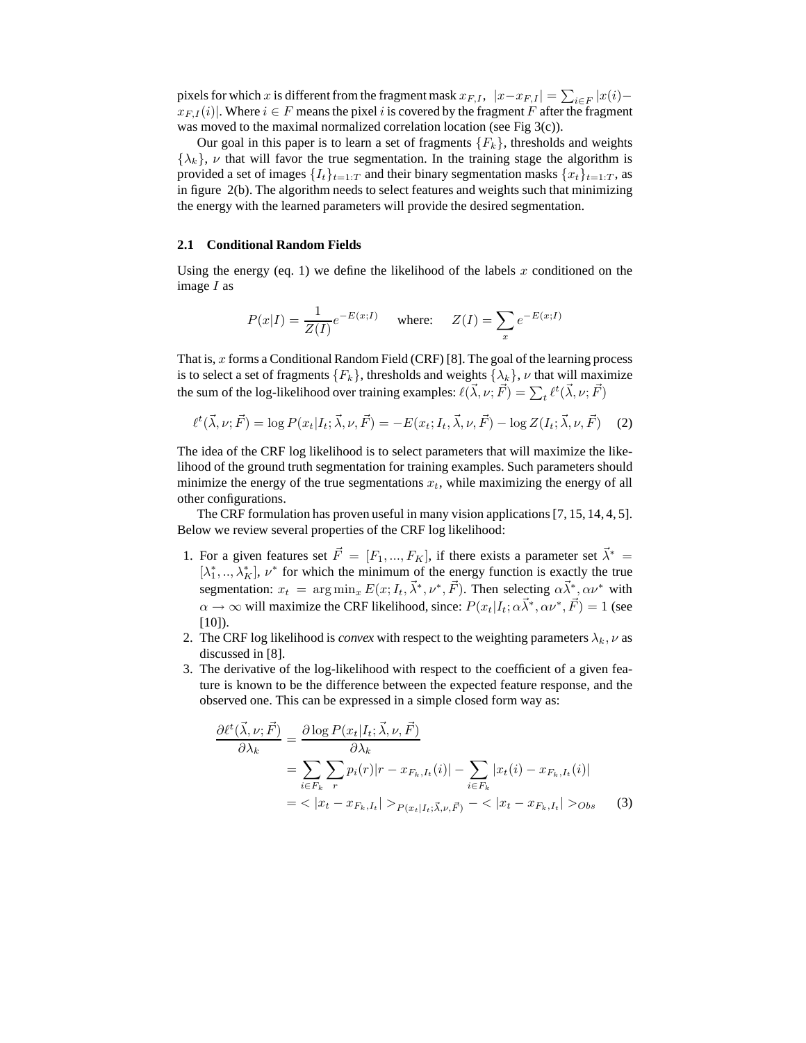pixels for which x is different from the fragment mask  $x_{F,I}, |x-x_{F,I}| = \sum_{i \in F} |x(i)$  $x_{F,I}(i)$ . Where  $i \in F$  means the pixel i is covered by the fragment F after the fragment was moved to the maximal normalized correlation location (see Fig 3(c)).

Our goal in this paper is to learn a set of fragments  ${F_k}$ , thresholds and weights  ${\{\lambda_k\}}$ ,  $\nu$  that will favor the true segmentation. In the training stage the algorithm is provided a set of images  $\{I_t\}_{t=1:T}$  and their binary segmentation masks  $\{x_t\}_{t=1:T}$ , as in figure 2(b). The algorithm needs to select features and weights such that minimizing the energy with the learned parameters will provide the desired segmentation.

#### **2.1 Conditional Random Fields**

Using the energy (eq. 1) we define the likelihood of the labels x conditioned on the image  $I$  as

$$
P(x|I) = \frac{1}{Z(I)} e^{-E(x;I)}
$$
 where:  $Z(I) = \sum_{x} e^{-E(x;I)}$ 

That is,  $x$  forms a Conditional Random Field (CRF) [8]. The goal of the learning process is to select a set of fragments  ${F_k}$ , thresholds and weights  ${\lambda_k}$ ,  $\nu$  that will maximize the sum of the log-likelihood over training examples:  $\ell(\vec{\lambda}, \nu; \vec{F}) = \sum_t \ell^t(\vec{\lambda}, \nu; \vec{F})$ 

$$
\ell^t(\vec{\lambda}, \nu; \vec{F}) = \log P(x_t | I_t; \vec{\lambda}, \nu, \vec{F}) = -E(x_t; I_t, \vec{\lambda}, \nu, \vec{F}) - \log Z(I_t; \vec{\lambda}, \nu, \vec{F}) \tag{2}
$$

The idea of the CRF log likelihood is to select parameters that will maximize the likelihood of the ground truth segmentation for training examples. Such parameters should minimize the energy of the true segmentations  $x_t$ , while maximizing the energy of all other configurations.

The CRF formulation has proven useful in many vision applications [7, 15, 14, 4, 5]. Below we review several properties of the CRF log likelihood:

- 1. For a given features set  $\vec{F} = [F_1, ..., F_K]$ , if there exists a parameter set  $\vec{\lambda}^* =$  $[\lambda_1^*,..,\lambda_K^*], \nu^*$  for which the minimum of the energy function is exactly the true segmentation:  $x_t = \arg \min_x E(x; I_t, \vec{\lambda}^*, \nu^*, \vec{F})$ . Then selecting  $\alpha \vec{\lambda}^*, \alpha \nu^*$  with  $\alpha \to \infty$  will maximize the CRF likelihood, since:  $P(x_t|I_t; \alpha \vec{\lambda}^*, \alpha \nu^*, \vec{F}) = 1$  (see  $[10]$ ).
- 2. The CRF log likelihood is *convex* with respect to the weighting parameters  $\lambda_k$ ,  $\nu$  as discussed in [8].
- 3. The derivative of the log-likelihood with respect to the coefficient of a given feature is known to be the difference between the expected feature response, and the observed one. This can be expressed in a simple closed form way as:

$$
\frac{\partial \ell^{t}(\vec{\lambda}, \nu; \vec{F})}{\partial \lambda_{k}} = \frac{\partial \log P(x_{t} | I_{t}; \vec{\lambda}, \nu, \vec{F})}{\partial \lambda_{k}}
$$
\n
$$
= \sum_{i \in F_{k}} \sum_{r} p_{i}(r) |r - x_{F_{k}, I_{t}}(i)| - \sum_{i \in F_{k}} |x_{t}(i) - x_{F_{k}, I_{t}}(i)|
$$
\n
$$
= \langle |x_{t} - x_{F_{k}, I_{t}}| >_{P(x_{t} | I_{t}; \vec{\lambda}, \nu, \vec{F})} - \langle |x_{t} - x_{F_{k}, I_{t}}| >_{Obs} \tag{3}
$$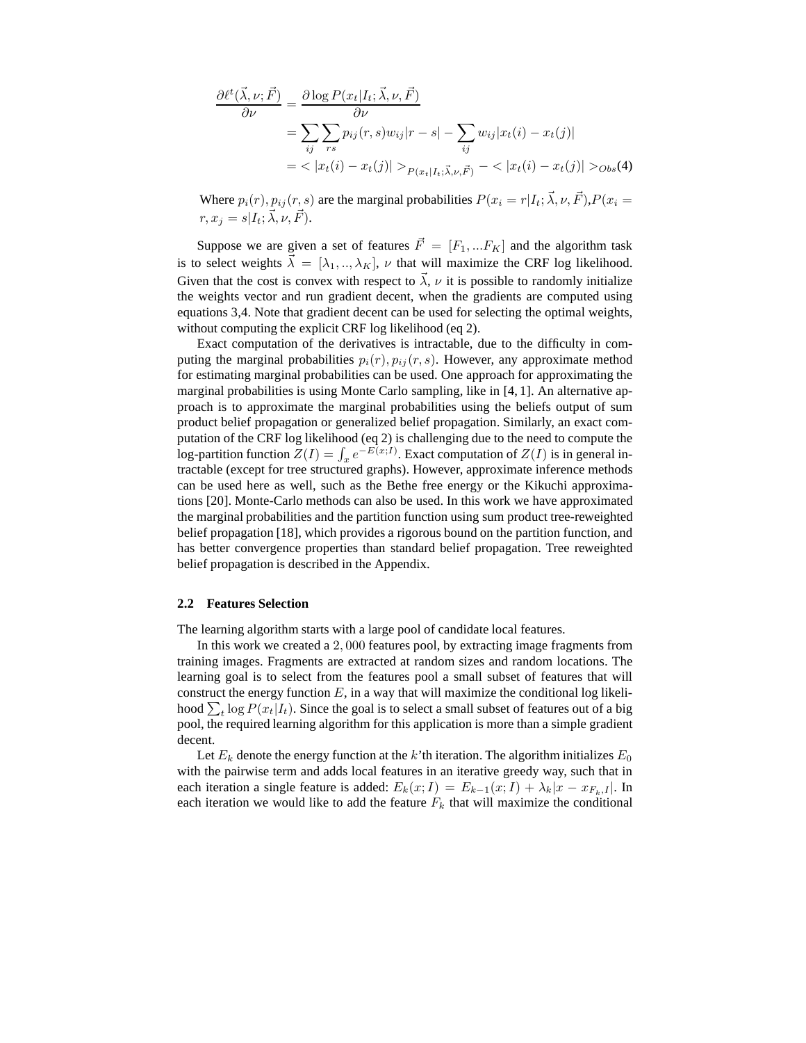$$
\frac{\partial \ell^{t}(\vec{\lambda}, \nu; \vec{F})}{\partial \nu} = \frac{\partial \log P(x_t | I_t; \vec{\lambda}, \nu, \vec{F})}{\partial \nu}
$$

$$
= \sum_{ij} \sum_{rs} p_{ij}(r, s) w_{ij} |r - s| - \sum_{ij} w_{ij} |x_t(i) - x_t(j)|
$$

$$
= \langle |x_t(i) - x_t(j)| \rangle_{P(x_t | I_t; \vec{\lambda}, \nu, \vec{F})} - \langle |x_t(i) - x_t(j)| \rangle_{Obs}(4)
$$

Where  $p_i(r)$ ,  $p_{ij}(r, s)$  are the marginal probabilities  $P(x_i = r | I_t; \vec{\lambda}, \nu, \vec{F})$ ,  $P(x_i = r)$  $r, x_j = s | I_t; \vec{\lambda}, \nu, \vec{F}).$ 

Suppose we are given a set of features  $\vec{F} = [F_1, ... F_K]$  and the algorithm task is to select weights  $\vec{\lambda} = [\lambda_1, ..., \lambda_K], \nu$  that will maximize the CRF log likelihood. Given that the cost is convex with respect to  $\overline{\lambda}$ ,  $\nu$  it is possible to randomly initialize the weights vector and run gradient decent, when the gradients are computed using equations 3,4. Note that gradient decent can be used for selecting the optimal weights, without computing the explicit CRF log likelihood (eq 2).

Exact computation of the derivatives is intractable, due to the difficulty in computing the marginal probabilities  $p_i(r), p_{ij}(r, s)$ . However, any approximate method for estimating marginal probabilities can be used. One approach for approximating the marginal probabilities is using Monte Carlo sampling, like in [4, 1]. An alternative approach is to approximate the marginal probabilities using the beliefs output of sum product belief propagation or generalized belief propagation. Similarly, an exact computation of the CRF log likelihood (eq 2) is challenging due to the need to compute the log-partition function  $Z(I) = \int_x e^{-E(x;I)}$ . Exact computation of  $Z(I)$  is in general intractable (except for tree structured graphs). However, approximate inference methods can be used here as well, such as the Bethe free energy or the Kikuchi approximations [20]. Monte-Carlo methods can also be used. In this work we have approximated the marginal probabilities and the partition function using sum product tree-reweighted belief propagation [18], which provides a rigorous bound on the partition function, and has better convergence properties than standard belief propagation. Tree reweighted belief propagation is described in the Appendix.

#### **2.2 Features Selection**

The learning algorithm starts with a large pool of candidate local features.

In this work we created a 2, 000 features pool, by extracting image fragments from training images. Fragments are extracted at random sizes and random locations. The learning goal is to select from the features pool a small subset of features that will construct the energy function  $E$ , in a way that will maximize the conditional log likelihood  $\sum_{t} \log P(x_t|I_t)$ . Since the goal is to select a small subset of features out of a big pool, the required learning algorithm for this application is more than a simple gradient decent.

Let  $E_k$  denote the energy function at the k'th iteration. The algorithm initializes  $E_0$ with the pairwise term and adds local features in an iterative greedy way, such that in each iteration a single feature is added:  $E_k(x; I) = E_{k-1}(x; I) + \lambda_k |x - x_{F_k, I}|$ . In each iteration we would like to add the feature  $F_k$  that will maximize the conditional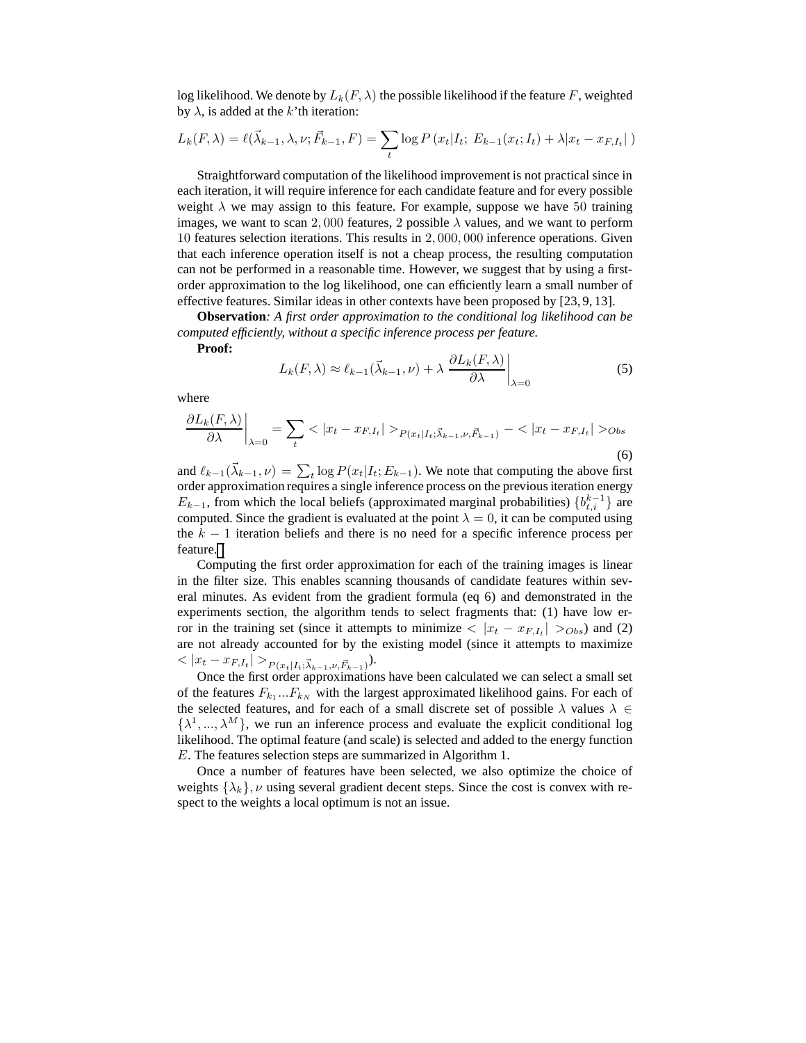log likelihood. We denote by  $L_k(F, \lambda)$  the possible likelihood if the feature F, weighted by  $\lambda$ , is added at the k'th iteration:

$$
L_k(F, \lambda) = \ell(\vec{\lambda}_{k-1}, \lambda, \nu; \vec{F}_{k-1}, F) = \sum_t \log P(x_t | I_t; E_{k-1}(x_t; I_t) + \lambda | x_t - x_{F, I_t} |)
$$

Straightforward computation of the likelihood improvement is not practical since in each iteration, it will require inference for each candidate feature and for every possible weight  $\lambda$  we may assign to this feature. For example, suppose we have 50 training images, we want to scan 2,000 features, 2 possible  $\lambda$  values, and we want to perform 10 features selection iterations. This results in 2, 000, 000 inference operations. Given that each inference operation itself is not a cheap process, the resulting computation can not be performed in a reasonable time. However, we suggest that by using a firstorder approximation to the log likelihood, one can efficiently learn a small number of effective features. Similar ideas in other contexts have been proposed by [23, 9, 13].

**Observation***: A first order approximation to the conditional log likelihood can be computed efficiently, without a specific inference process per feature.*

**Proof:**

$$
L_k(F,\lambda) \approx \ell_{k-1}(\vec{\lambda}_{k-1},\nu) + \lambda \left. \frac{\partial L_k(F,\lambda)}{\partial \lambda} \right|_{\lambda=0} \tag{5}
$$

where

$$
\frac{\partial L_k(F,\lambda)}{\partial \lambda}\bigg|_{\lambda=0} = \sum_t \langle |x_t - x_{F,I_t}| >_{P(x_t|I_t;\vec{\lambda}_{k-1},\nu,\vec{F}_{k-1})} - \langle |x_t - x_{F,I_t}| >_{Obs}
$$
\n
$$
\tag{6}
$$

and  $\ell_{k-1}(\vec{\lambda}_{k-1}, \nu) = \sum_{t} \log P(x_t | I_t; E_{k-1})$ . We note that computing the above first order approximation requires a single inference process on the previous iteration energy  $E_{k-1}$ , from which the local beliefs (approximated marginal probabilities)  $\{b_{t,i}^{k-1}\}$  are computed. Since the gradient is evaluated at the point  $\lambda = 0$ , it can be computed using the  $k - 1$  iteration beliefs and there is no need for a specific inference process per feature.

Computing the first order approximation for each of the training images is linear in the filter size. This enables scanning thousands of candidate features within several minutes. As evident from the gradient formula (eq 6) and demonstrated in the experiments section, the algorithm tends to select fragments that: (1) have low error in the training set (since it attempts to minimize  $\langle |x_t - x_{F,I_t}| >_{Obs}$ ) and (2) are not already accounted for by the existing model (since it attempts to maximize  $< |x_t - x_{F,I_t}| >_{P(x_t|I_t;\vec{\lambda}_{k-1},\nu,\vec{F}_{k-1})}).$ 

Once the first order approximations have been calculated we can select a small set of the features  $F_{k_1}...F_{k_N}$  with the largest approximated likelihood gains. For each of the selected features, and for each of a small discrete set of possible  $\lambda$  values  $\lambda \in$  $\{\lambda^1, ..., \lambda^M\}$ , we run an inference process and evaluate the explicit conditional log likelihood. The optimal feature (and scale) is selected and added to the energy function E. The features selection steps are summarized in Algorithm 1.

Once a number of features have been selected, we also optimize the choice of weights  $\{\lambda_k\}, \nu$  using several gradient decent steps. Since the cost is convex with respect to the weights a local optimum is not an issue.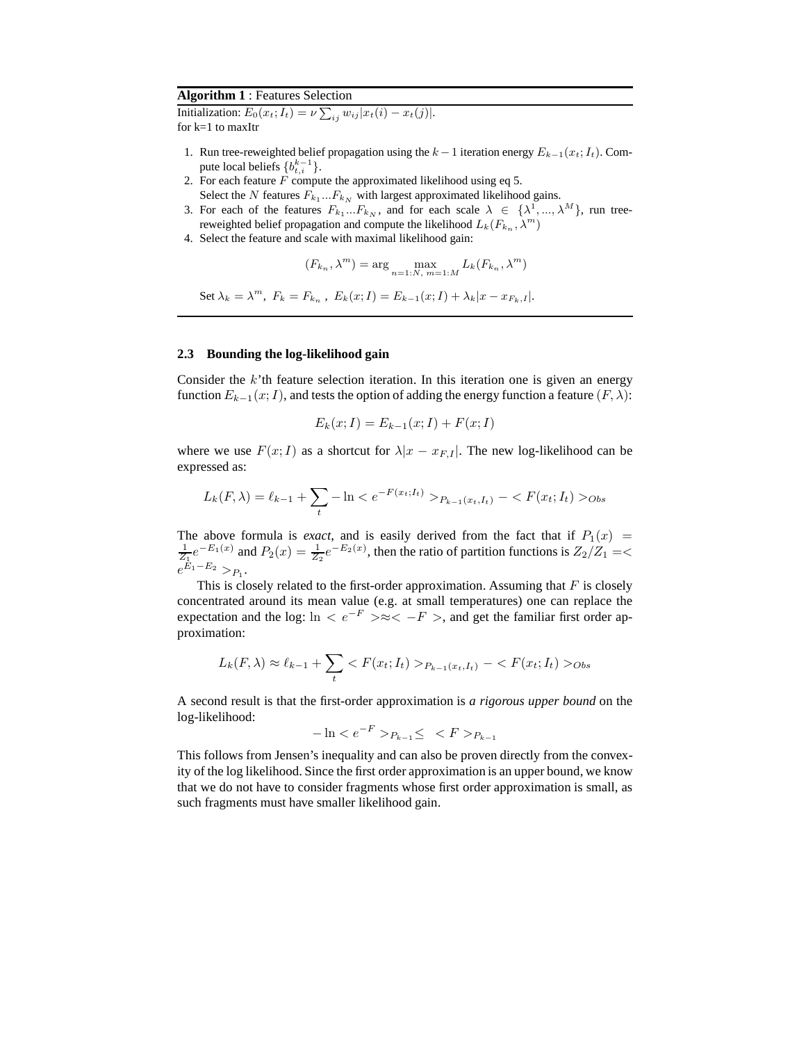#### **Algorithm 1** : Features Selection

Initialization:  $E_0(x_t; I_t) = \nu \sum_{ij} w_{ij} |x_t(i) - x_t(j)|$ . for k=1 to maxItr

- 1. Run tree-reweighted belief propagation using the  $k-1$  iteration energy  $E_{k-1}(x_t; I_t)$ . Compute local beliefs  ${b_{t,i}^{k-1}}$ .
- 2. For each feature  $F$  compute the approximated likelihood using eq 5. Select the N features  $F_{k_1}...F_{k_N}$  with largest approximated likelihood gains.
- 3. For each of the features  $F_{k_1}...F_{k_N}$ , and for each scale  $\lambda \in {\{\lambda^1, ..., \lambda^M\}}$ , run treereweighted belief propagation and compute the likelihood  $L_k(F_{k_n}, \lambda^m)$
- 4. Select the feature and scale with maximal likelihood gain:

$$
(F_{k_n}, \lambda^m) = \arg \max_{n=1:N, m=1:M} L_k(F_{k_n}, \lambda^m)
$$

Set  $\lambda_k = \lambda^m$ ,  $F_k = F_{k_n}$ ,  $E_k(x; I) = E_{k-1}(x; I) + \lambda_k |x - x_{F_k, I}|$ .

#### **2.3 Bounding the log-likelihood gain**

Consider the  $k$ 'th feature selection iteration. In this iteration one is given an energy function  $E_{k-1}(x; I)$ , and tests the option of adding the energy function a feature  $(F, \lambda)$ :

$$
E_k(x;I) = E_{k-1}(x;I) + F(x;I)
$$

where we use  $F(x; I)$  as a shortcut for  $\lambda |x - x_{F,I}|$ . The new log-likelihood can be expressed as:

$$
L_k(F,\lambda) = \ell_{k-1} + \sum_t -\ln \langle e^{-F(x_t;I_t)} \rangle_{P_{k-1}(x_t,I_t)} - \langle F(x_t;I_t) \rangle_{Obs}
$$

The above formula is *exact*, and is easily derived from the fact that if  $P_1(x)$  =  $\frac{1}{Z_1}e^{-E_1(x)}$  and  $P_2(x) = \frac{1}{Z_2}e^{-E_2(x)}$ , then the ratio of partition functions is  $Z_2/Z_1 = \langle$  $e^{E_1-E_2} > P_1$ .

This is closely related to the first-order approximation. Assuming that  $F$  is closely concentrated around its mean value (e.g. at small temperatures) one can replace the expectation and the log: ln <  $e^{-F}$  >≈<  $-F$  >, and get the familiar first order approximation:

$$
L_k(F,\lambda) \approx \ell_{k-1} + \sum_t \langle F(x_t; I_t) \rangle_{P_{k-1}(x_t, I_t)} - \langle F(x_t; I_t) \rangle_{Obs}
$$

A second result is that the first-order approximation is *a rigorous upper bound* on the log-likelihood:

$$
-\ln _{P_{k-1}} \leq \ \ \lt F>_{P_{k-1}}
$$

This follows from Jensen's inequality and can also be proven directly from the convexity of the log likelihood. Since the first order approximation is an upper bound, we know that we do not have to consider fragments whose first order approximation is small, as such fragments must have smaller likelihood gain.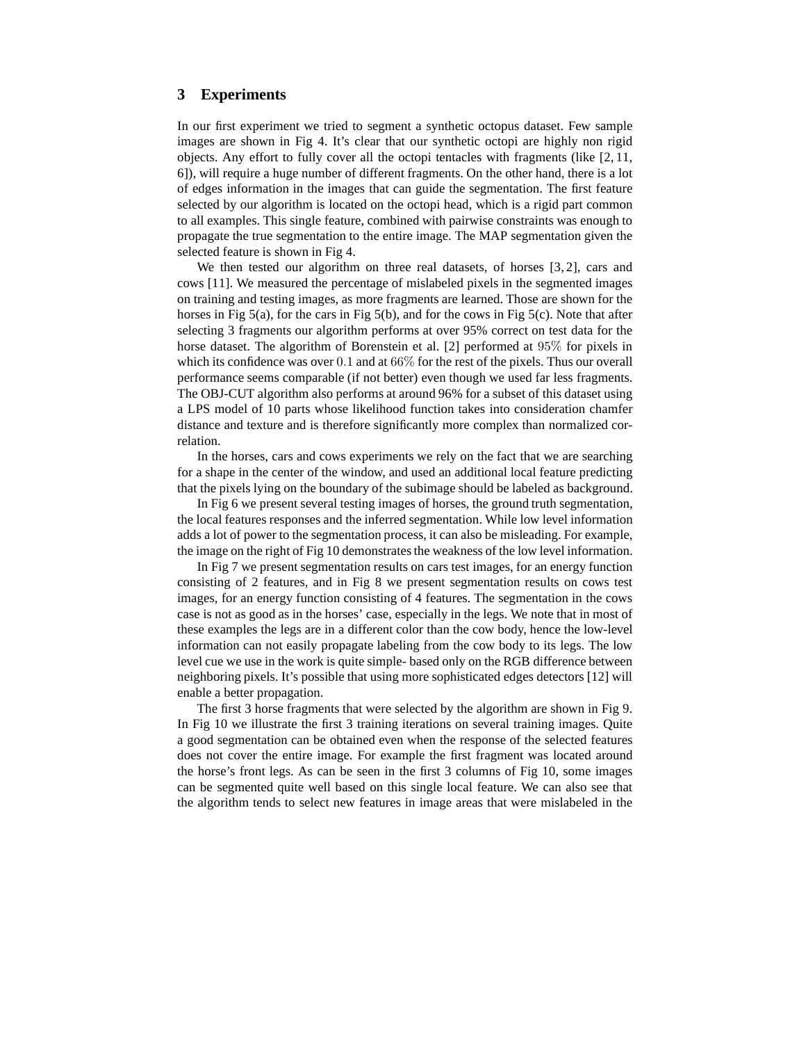## **3 Experiments**

In our first experiment we tried to segment a synthetic octopus dataset. Few sample images are shown in Fig 4. It's clear that our synthetic octopi are highly non rigid objects. Any effort to fully cover all the octopi tentacles with fragments (like [2, 11, 6]), will require a huge number of different fragments. On the other hand, there is a lot of edges information in the images that can guide the segmentation. The first feature selected by our algorithm is located on the octopi head, which is a rigid part common to all examples. This single feature, combined with pairwise constraints was enough to propagate the true segmentation to the entire image. The MAP segmentation given the selected feature is shown in Fig 4.

We then tested our algorithm on three real datasets, of horses [3, 2], cars and cows [11]. We measured the percentage of mislabeled pixels in the segmented images on training and testing images, as more fragments are learned. Those are shown for the horses in Fig  $5(a)$ , for the cars in Fig  $5(b)$ , and for the cows in Fig  $5(c)$ . Note that after selecting 3 fragments our algorithm performs at over 95% correct on test data for the horse dataset. The algorithm of Borenstein et al. [2] performed at 95% for pixels in which its confidence was over 0.1 and at 66% for the rest of the pixels. Thus our overall performance seems comparable (if not better) even though we used far less fragments. The OBJ-CUT algorithm also performs at around 96% for a subset of this dataset using a LPS model of 10 parts whose likelihood function takes into consideration chamfer distance and texture and is therefore significantly more complex than normalized correlation.

In the horses, cars and cows experiments we rely on the fact that we are searching for a shape in the center of the window, and used an additional local feature predicting that the pixels lying on the boundary of the subimage should be labeled as background.

In Fig 6 we present several testing images of horses, the ground truth segmentation, the local features responses and the inferred segmentation. While low level information adds a lot of power to the segmentation process, it can also be misleading. For example, the image on the right of Fig 10 demonstrates the weakness of the low level information.

In Fig 7 we present segmentation results on cars test images, for an energy function consisting of 2 features, and in Fig 8 we present segmentation results on cows test images, for an energy function consisting of 4 features. The segmentation in the cows case is not as good as in the horses' case, especially in the legs. We note that in most of these examples the legs are in a different color than the cow body, hence the low-level information can not easily propagate labeling from the cow body to its legs. The low level cue we use in the work is quite simple- based only on the RGB difference between neighboring pixels. It's possible that using more sophisticated edges detectors [12] will enable a better propagation.

The first 3 horse fragments that were selected by the algorithm are shown in Fig 9. In Fig 10 we illustrate the first 3 training iterations on several training images. Quite a good segmentation can be obtained even when the response of the selected features does not cover the entire image. For example the first fragment was located around the horse's front legs. As can be seen in the first 3 columns of Fig 10, some images can be segmented quite well based on this single local feature. We can also see that the algorithm tends to select new features in image areas that were mislabeled in the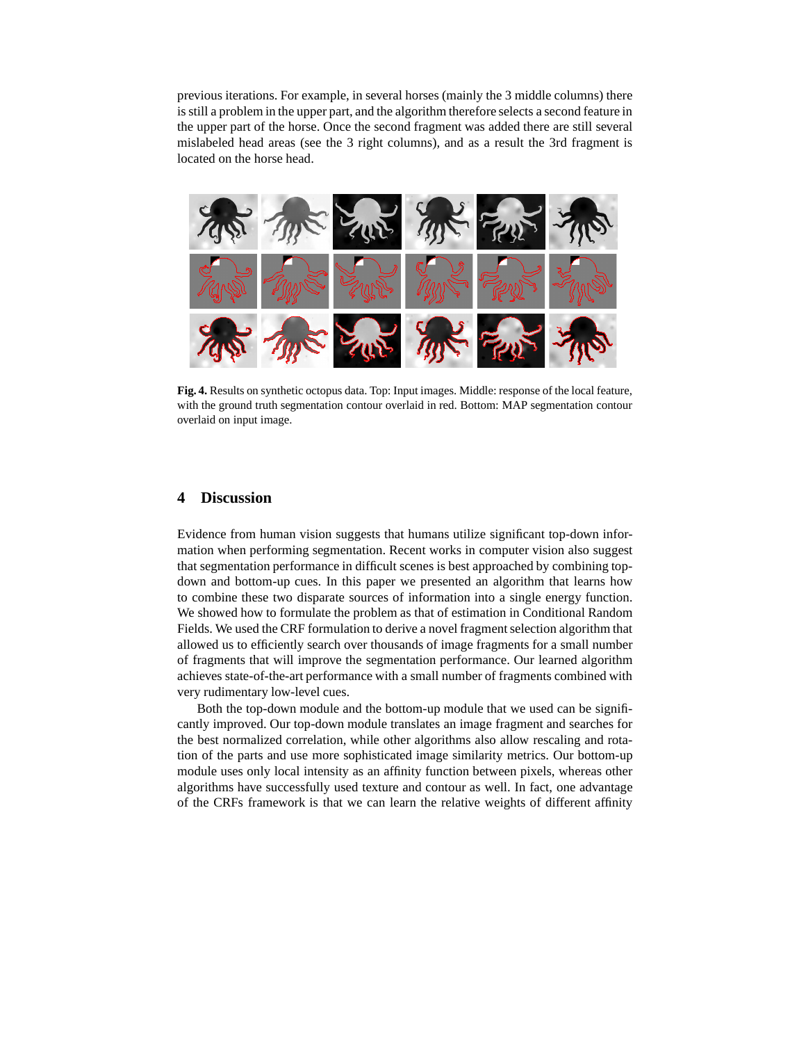previous iterations. For example, in several horses (mainly the 3 middle columns) there is still a problem in the upper part, and the algorithm therefore selects a second feature in the upper part of the horse. Once the second fragment was added there are still several mislabeled head areas (see the 3 right columns), and as a result the 3rd fragment is located on the horse head.



**Fig. 4.** Results on synthetic octopus data. Top: Input images. Middle: response of the local feature, with the ground truth segmentation contour overlaid in red. Bottom: MAP segmentation contour overlaid on input image.

#### **4 Discussion**

Evidence from human vision suggests that humans utilize significant top-down information when performing segmentation. Recent works in computer vision also suggest that segmentation performance in difficult scenes is best approached by combining topdown and bottom-up cues. In this paper we presented an algorithm that learns how to combine these two disparate sources of information into a single energy function. We showed how to formulate the problem as that of estimation in Conditional Random Fields. We used the CRF formulation to derive a novel fragment selection algorithm that allowed us to efficiently search over thousands of image fragments for a small number of fragments that will improve the segmentation performance. Our learned algorithm achieves state-of-the-art performance with a small number of fragments combined with very rudimentary low-level cues.

Both the top-down module and the bottom-up module that we used can be significantly improved. Our top-down module translates an image fragment and searches for the best normalized correlation, while other algorithms also allow rescaling and rotation of the parts and use more sophisticated image similarity metrics. Our bottom-up module uses only local intensity as an affinity function between pixels, whereas other algorithms have successfully used texture and contour as well. In fact, one advantage of the CRFs framework is that we can learn the relative weights of different affinity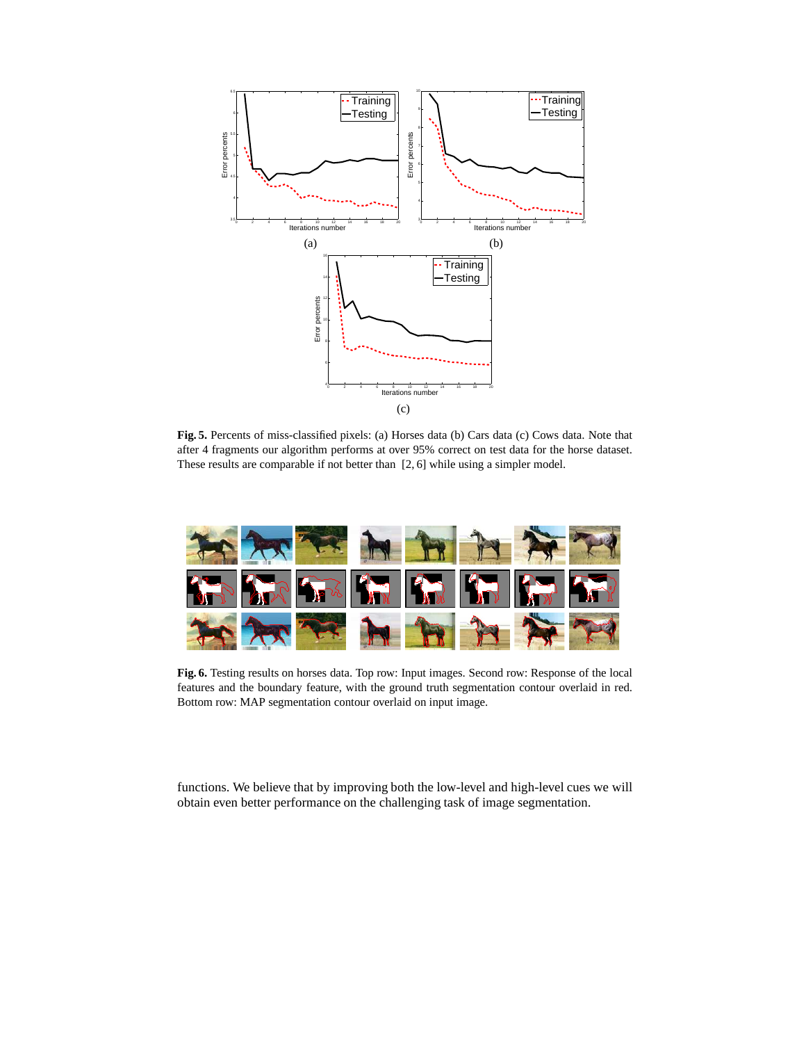

Fig. 5. Percents of miss-classified pixels: (a) Horses data (b) Cars data (c) Cows data. Note that after 4 fragments our algorithm performs at over 95% correct on test data for the horse dataset. These results are comparable if not better than [2, 6] while using a simpler model.



**Fig. 6.** Testing results on horses data. Top row: Input images. Second row: Response of the local features and the boundary feature, with the ground truth segmentation contour overlaid in red. Bottom row: MAP segmentation contour overlaid on input image.

functions. We believe that by improving both the low-level and high-level cues we will obtain even better performance on the challenging task of image segmentation.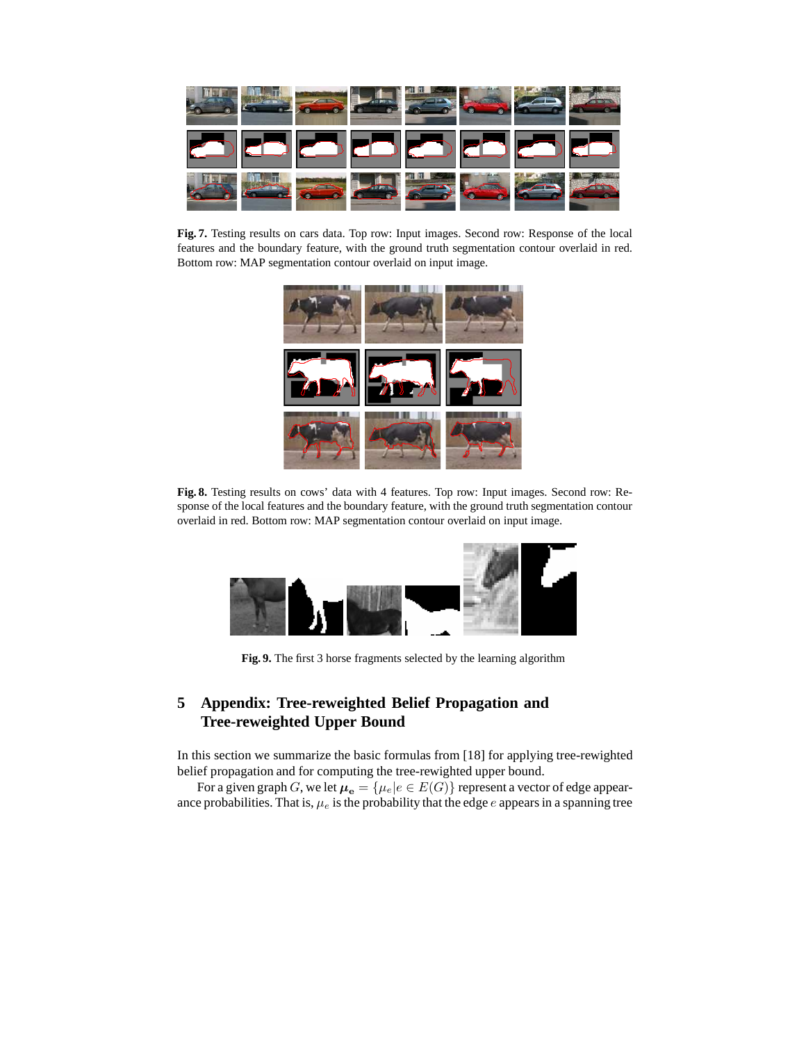

**Fig. 7.** Testing results on cars data. Top row: Input images. Second row: Response of the local features and the boundary feature, with the ground truth segmentation contour overlaid in red. Bottom row: MAP segmentation contour overlaid on input image.



**Fig. 8.** Testing results on cows' data with 4 features. Top row: Input images. Second row: Response of the local features and the boundary feature, with the ground truth segmentation contour overlaid in red. Bottom row: MAP segmentation contour overlaid on input image.



**Fig. 9.** The first 3 horse fragments selected by the learning algorithm

# **5 Appendix: Tree-reweighted Belief Propagation and Tree-reweighted Upper Bound**

In this section we summarize the basic formulas from [18] for applying tree-rewighted belief propagation and for computing the tree-rewighted upper bound.

For a given graph G, we let  $\mu_e = {\mu_e | e \in E(G)}$  represent a vector of edge appearance probabilities. That is,  $\mu_e$  is the probability that the edge  $e$  appears in a spanning tree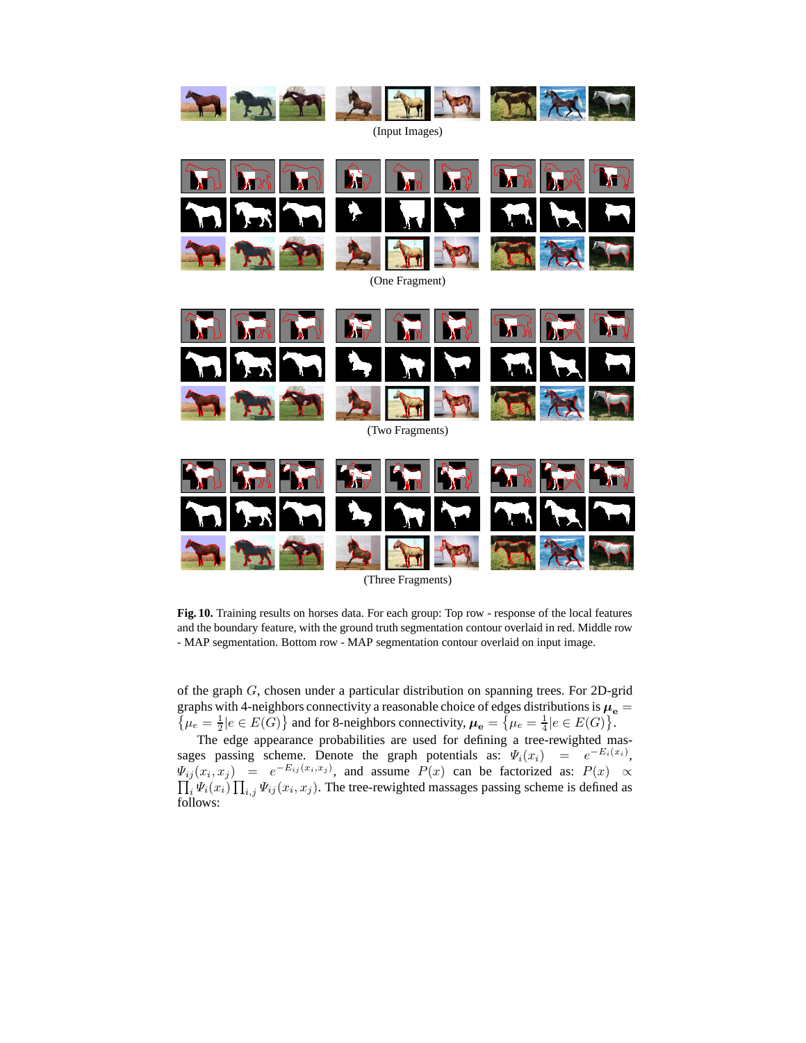

**Fig. 10.** Training results on horses data. For each group: Top row - response of the local features and the boundary feature, with the ground truth segmentation contour overlaid in red. Middle row - MAP segmentation. Bottom row - MAP segmentation contour overlaid on input image.

of the graph G, chosen under a particular distribution on spanning trees. For 2D-grid graphs with 4-neighbors connectivity a reasonable choice of edges distributions is  $\mu_e$  =  $\{\mu_e = \frac{1}{2} | e \in E(G) \}$  and for 8-neighbors connectivity,  $\mu_e = \{\mu_e = \frac{1}{4} | e \in E(G) \}$ .

The edge appearance probabilities are used for defining a tree-rewighted massages passing scheme. Denote the graph potentials as:  $\Psi_i(x_i) = e^{-E_i(x_i)}$ ,  $\Psi_{ij}(x_i, x_j) = e^{-E_{ij}(x_i, x_j)}$ , and assume  $P(x)$  can be factorized as:  $P(x) \propto$  $\prod_i \Psi_i(x_i) \prod_{i,j} \Psi_{ij}(x_i, x_j)$ . The tree-rewighted massages passing scheme is defined as follows: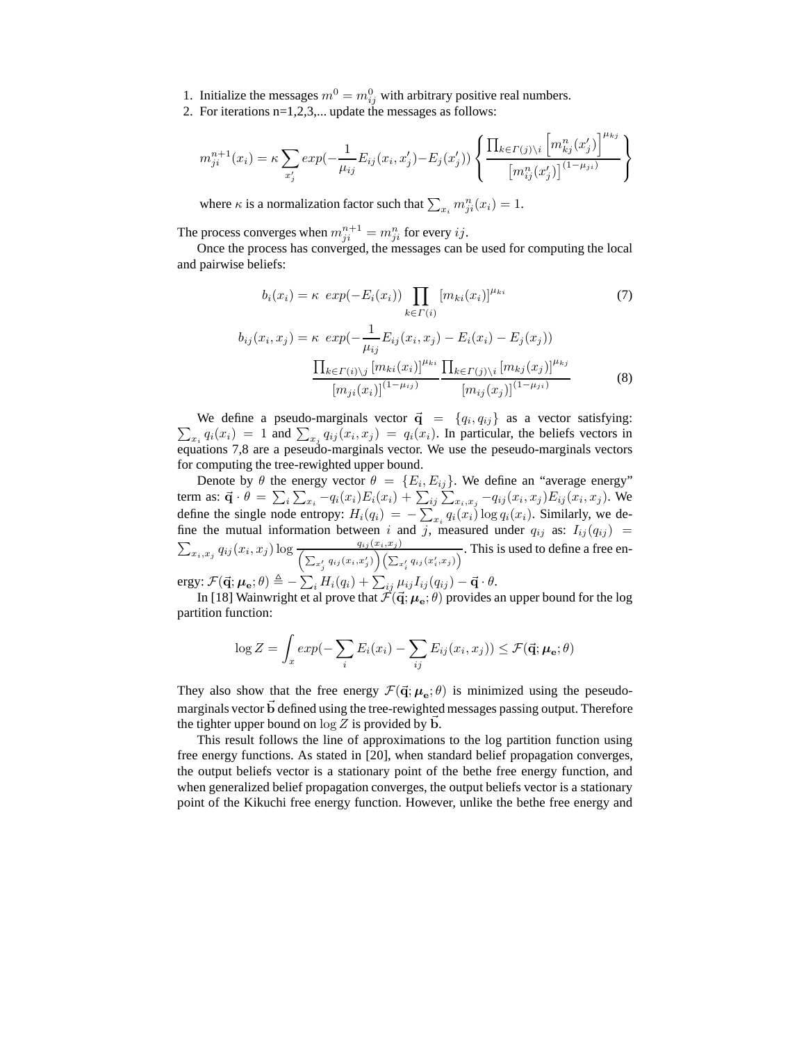- 1. Initialize the messages  $m^0 = m_{ij}^0$  with arbitrary positive real numbers.
- 2. For iterations n=1,2,3,... update the messages as follows:

$$
m_{ji}^{n+1}(x_i) = \kappa \sum_{x'_j} exp(-\frac{1}{\mu_{ij}} E_{ij}(x_i, x'_j) - E_j(x'_j)) \left\{ \frac{\prod_{k \in \Gamma(j)} \sum_{i} \left[ m_{kj}^n(x'_j) \right]^{\mu_{kj}}}{\left[ m_{ij}^n(x'_j) \right]^{(1-\mu_{ji})}} \right\}
$$

where  $\kappa$  is a normalization factor such that  $\sum_{x_i} m_{ji}^n(x_i) = 1$ .

The process converges when  $m_{ji}^{n+1} = m_{ji}^n$  for every ij.

Once the process has converged, the messages can be used for computing the local and pairwise beliefs:

$$
b_i(x_i) = \kappa \exp(-E_i(x_i)) \prod_{k \in \Gamma(i)} [m_{ki}(x_i)]^{\mu_{ki}}
$$
(7)  

$$
b_{ij}(x_i, x_j) = \kappa \exp(-\frac{1}{\mu_{ij}} E_{ij}(x_i, x_j) - E_i(x_i) - E_j(x_j))
$$
  

$$
\frac{\prod_{k \in \Gamma(i) \setminus j} [m_{ki}(x_i)]^{\mu_{ki}}}{[m_{ji}(x_i)]^{(1-\mu_{ij})}} \frac{\prod_{k \in \Gamma(j) \setminus i} [m_{kj}(x_j)]^{\mu_{kj}}}{[m_{ij}(x_j)]^{(1-\mu_{ji})}}
$$
(8)

We define a pseudo-marginals vector  $\vec{q} = \{q_i, q_{ij}\}\$ as a vector satisfying:  $\sum_{x_i} q_i(x_i) = 1$  and  $\sum_{x_j} q_{ij}(x_i, x_j) = q_i(x_i)$ . In particular, the beliefs vectors in equations 7,8 are a peseudo-marginals vector. We use the peseudo-marginals vectors for computing the tree-rewighted upper bound.

Denote by  $\theta$  the energy vector  $\theta = \{E_i, E_{ij}\}\.$  We define an "average energy" term as:  $\vec{q} \cdot \theta = \sum_i \sum_{x_i} -q_i(x_i)E_i(x_i) + \sum_{ij} \sum_{x_i, x_j} -q_{ij}(x_i, x_j)E_{ij}(x_i, x_j)$ . We define the single node entropy:  $H_i(q_i) = -\sum_{x_i} q_i(x_i) \log q_i(x_i)$ . Similarly, we define the mutual information between i and j, measured under  $q_{ij}$  as:  $I_{ij} (q_{ij})$  =  $\sum_{x_i, x_j} q_{ij}(x_i, x_j) \log \frac{q_{ij}(x_i, x_j)}{\left(\sum_{x'_j} q_{ij}(x_i, x'_j)\right)\left(\sum_{x'_i} q_{ij}(x'_i, x_j)\right)}$ . This is used to define a free energy:  $\mathcal{F}(\vec{\mathbf{q}}; \mu_{\mathbf{e}}; \theta) \triangleq -\sum_i H_i(q_i) + \sum_{ij} \mu_{ij} I_{ij}(q_{ij}) - \vec{\mathbf{q}} \cdot \theta.$ 

In [18] Wainwright et al prove that  $\mathcal{F}(\vec{q};\mu_{e};\theta)$  provides an upper bound for the log partition function:

$$
\log Z = \int_{x} exp(-\sum_{i} E_{i}(x_{i}) - \sum_{ij} E_{ij}(x_{i}, x_{j})) \leq \mathcal{F}(\vec{\mathbf{q}}; \mu_{\mathbf{e}}; \theta)
$$

They also show that the free energy  $\mathcal{F}(\vec{q}; \mu_{e}; \theta)$  is minimized using the peseudomarginals vector  $\vec{b}$  defined using the tree-rewighted messages passing output. Therefore the tighter upper bound on  $\log Z$  is provided by  $\vec{b}$ .

This result follows the line of approximations to the log partition function using free energy functions. As stated in [20], when standard belief propagation converges, the output beliefs vector is a stationary point of the bethe free energy function, and when generalized belief propagation converges, the output beliefs vector is a stationary point of the Kikuchi free energy function. However, unlike the bethe free energy and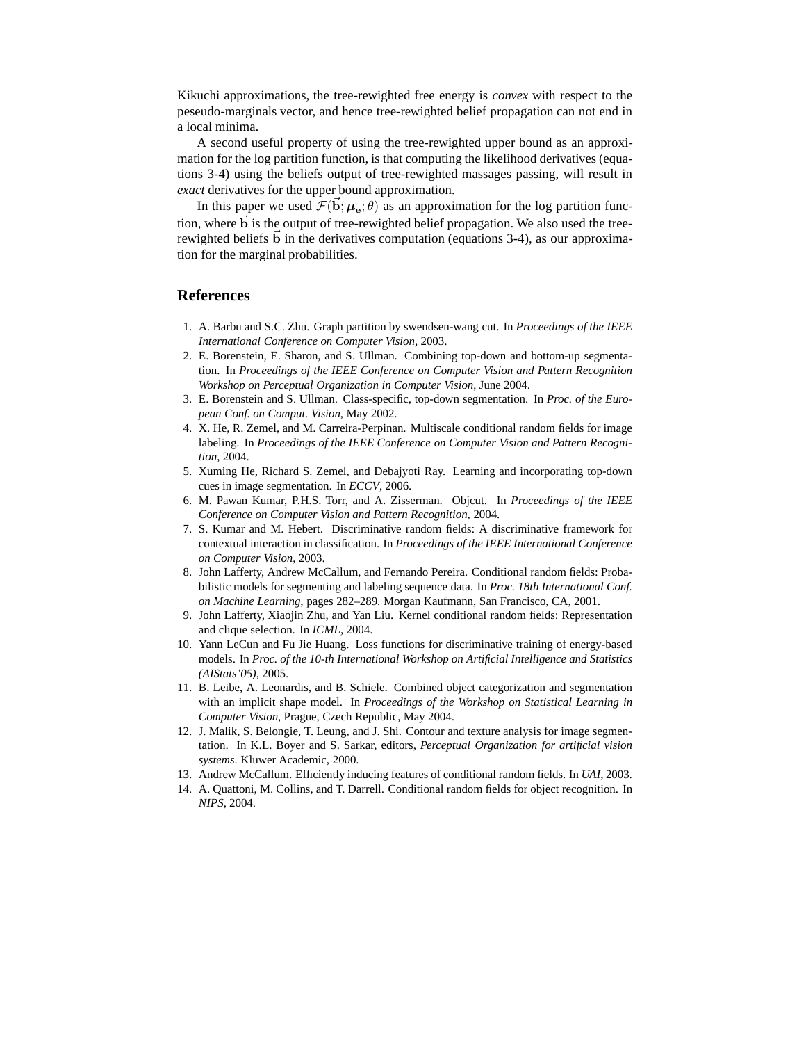Kikuchi approximations, the tree-rewighted free energy is *convex* with respect to the peseudo-marginals vector, and hence tree-rewighted belief propagation can not end in a local minima.

A second useful property of using the tree-rewighted upper bound as an approximation for the log partition function, is that computing the likelihood derivatives (equations 3-4) using the beliefs output of tree-rewighted massages passing, will result in *exact* derivatives for the upper bound approximation.

In this paper we used  $\mathcal{F}(\vec{b};\mu_{\bf e};\theta)$  as an approximation for the log partition function, where  $\overline{b}$  is the output of tree-rewighted belief propagation. We also used the treerewighted beliefs  $\vec{b}$  in the derivatives computation (equations 3-4), as our approximation for the marginal probabilities.

# **References**

- 1. A. Barbu and S.C. Zhu. Graph partition by swendsen-wang cut. In *Proceedings of the IEEE International Conference on Computer Vision*, 2003.
- 2. E. Borenstein, E. Sharon, and S. Ullman. Combining top-down and bottom-up segmentation. In *Proceedings of the IEEE Conference on Computer Vision and Pattern Recognition Workshop on Perceptual Organization in Computer Vision*, June 2004.
- 3. E. Borenstein and S. Ullman. Class-specific, top-down segmentation. In *Proc. of the European Conf. on Comput. Vision*, May 2002.
- 4. X. He, R. Zemel, and M. Carreira-Perpinan. Multiscale conditional random fields for image labeling. In *Proceedings of the IEEE Conference on Computer Vision and Pattern Recognition*, 2004.
- 5. Xuming He, Richard S. Zemel, and Debajyoti Ray. Learning and incorporating top-down cues in image segmentation. In *ECCV*, 2006.
- 6. M. Pawan Kumar, P.H.S. Torr, and A. Zisserman. Objcut. In *Proceedings of the IEEE Conference on Computer Vision and Pattern Recognition*, 2004.
- 7. S. Kumar and M. Hebert. Discriminative random fields: A discriminative framework for contextual interaction in classification. In *Proceedings of the IEEE International Conference on Computer Vision*, 2003.
- 8. John Lafferty, Andrew McCallum, and Fernando Pereira. Conditional random fields: Probabilistic models for segmenting and labeling sequence data. In *Proc. 18th International Conf. on Machine Learning*, pages 282–289. Morgan Kaufmann, San Francisco, CA, 2001.
- 9. John Lafferty, Xiaojin Zhu, and Yan Liu. Kernel conditional random fields: Representation and clique selection. In *ICML*, 2004.
- 10. Yann LeCun and Fu Jie Huang. Loss functions for discriminative training of energy-based models. In *Proc. of the 10-th International Workshop on Artificial Intelligence and Statistics (AIStats'05)*, 2005.
- 11. B. Leibe, A. Leonardis, and B. Schiele. Combined object categorization and segmentation with an implicit shape model. In *Proceedings of the Workshop on Statistical Learning in Computer Vision*, Prague, Czech Republic, May 2004.
- 12. J. Malik, S. Belongie, T. Leung, and J. Shi. Contour and texture analysis for image segmentation. In K.L. Boyer and S. Sarkar, editors, *Perceptual Organization for artificial vision systems*. Kluwer Academic, 2000.
- 13. Andrew McCallum. Efficiently inducing features of conditional random fields. In *UAI*, 2003.
- 14. A. Quattoni, M. Collins, and T. Darrell. Conditional random fields for object recognition. In *NIPS*, 2004.